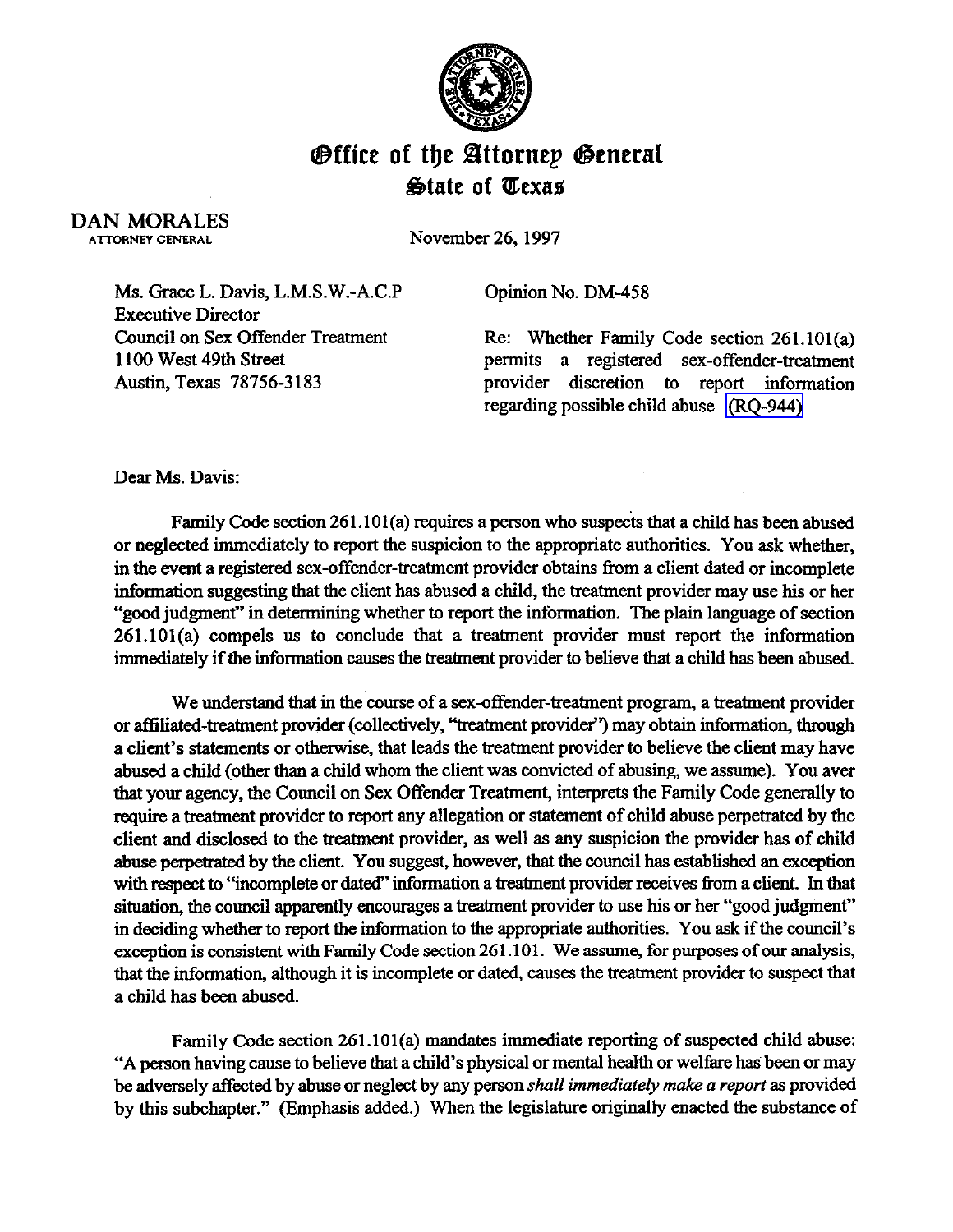

## **Office of the Attornep General**  $\mathfrak{B}$ tate of *Uexas*

DAN MORALES

November 26, 1997

Ms. Grace L. Davis, L.M.S.W.-A.C.P Executive Director Council on Sex Offender Treatment 1100 west 49th street Austin, Texas 78756-3 183

Opinion No. DM-458

Re: Whether Family Code section 261.101(a) permits a registered sex-offender-treatment provider discretion to report information regarding possible child abuse [\(RQ-944\)](http://intranet1.oag.state.tx.us/opinions/requests/rq0944.pdf) 

Dear Ms. Davis:

Family Code section 261.101(a) requires a person who suspects that a child has been abused or neglected immediately to report the suspicion to the appropriate authorities. You ask whether, in the event a registered sex-offender-treatment provider obtains from a client dated or incomplete information suggesting that the client has abused a child, the treatment provider may use his or her "good judgment" in determining whether to report the information. The plain language of section 261.101(a) compels us to conclude that a treatment provider must report the information immediately if the information causes the treatment provider to believe that a child has been abused.

We understand that in the course of a sex-offender-treatment program, a treatment provider or affiliated-treatment provider (collectively, "treatment provider") may obtain information, through a client's statements or otherwise, that leads the treatment provider to believe the client may have abused a child (other than a child whom the client was convicted of abusing, we assume). You aver that your agency, the Council on Sex Offender Treatment, interprets the Family Code generally to require a treatment provider to report any allegation or statement of child abuse perpetrated by the client and disclosed to the treatment provider, as well as any suspicion the provider has of child abuse perpetrated by the client. You suggest, however, that the council has established an exception with respect to "incomplete or dated" information a treatment provider receives from a client. In that situation, the council apparently encourages a treatment provider to use his or her "good judgment" in deciding whether to report the information to the appropriate authorities. You ask if the council's exception is consistent with Family Code section 261.101. We assume, for purposes of our analysis, that the information, although it is incomplete or dated, causes the treatment provider to suspect that a child has been abused.

Family Code section 261.101(a) mandates immediate reporting of suspected child abuse: "A person having cause to believe that a child's physical or mental health or welfare has been or may be adversely affected by abuse or neglect by any person *shall immediately make a report as* provided by this subchapter." (Emphasis added.) When the legislature originally enacted the substance of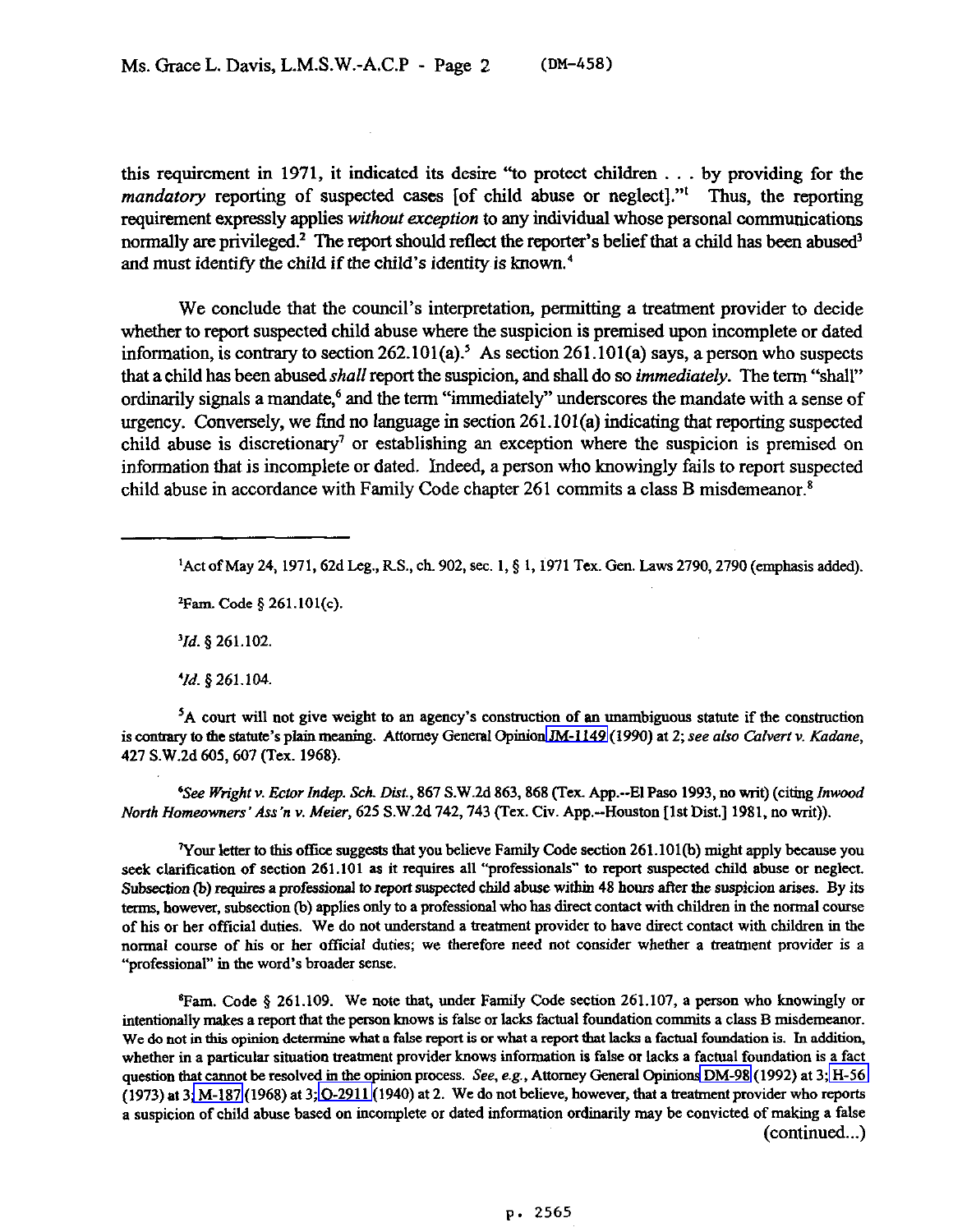this requirement in 1971, it indicated its desire "to protect children . . . by providing for the mandatory reporting of suspected cases [of child abuse or neglect]."<sup>I</sup> Thus, the reporting requirement expressly applies *without exception* to any individual whose personal communications normally are privileged.<sup>2</sup> The report should reflect the reporter's belief that a child has been abused<sup>3</sup> and must identify the child if the child's identity is known. $4$ 

We conclude that the council's interpretation, permitting a treatment provider to decide whether to report suspected child abuse where the suspicion is premised upon incomplete or dated information, is contrary to section  $262.101(a)$ <sup>5</sup> As section  $261.101(a)$  says, a person who suspects that a child has been abused *shall report the* suspicion, and shall do *so immediately. The* term "shall' ordinarily signals a mandate,<sup>6</sup> and the term "immediately" underscores the mandate with a sense of urgency. Conversely, we find no language in section 261.101(a) indicating that reporting suspected child abuse is discretionary' or establishing an exception where the suspicion is premised on information that is incomplete or dated.. Indeed, a person who knowingly fails to report suspected child abuse in accordance with Family Code chapter  $261$  commits a class B misdemeanor.<sup>8</sup>

<sup>1</sup> Act of May 24, 1971, 62d Leg., R.S., ch. 902, sec. 1, § 1, 1971 Tex. Gen. Laws 2790, 2790 (emphasis added).

**zFam. Code 5 261.101(c).** 

*'Id. g* **261.102.** 

*'Id. 4 261.104* 

<sup>5</sup>A court will not give weight to an agency's construction of an unambiguous statute if the construction is contrary to the statute's plain meaning. Attorney General Opinion JM-1149 (1990) at 2; see also Calvert v. Kadane, *427* **S.W.2d 605,607 (Tex. 1968).** 

*"See Wright v. Ector Indep. Sch. Dist.*, 867 S.W.2d 863, 868 (Tex. App.--El Paso 1993, no writ) (citing Inwood *North Homeowners' Ass'n v. Meier, 625 S.W.2d 742, 743 (Tex. Civ. App.--Houston [1st Dist.] 1981, no writ)).* 

<sup>7</sup>Your letter to this office suggests that you believe Family Code section 261.101(b) might apply because you **seek clarification of section 261.101 as it requires all "professionals" to report suspected child abuse or neglect.**  Subsection (b) requires a professional to report suspected child abuse within 48 hours after the suspicion arises. By its **terms, however, subsection @) applies only to a professional who has direct contact with children in the normal course of his or her ofGal duties. We do not understand a treatment provider to have direct contact with children in the normal course of his or her ofiicial duties; we therefore need not consider whether a treatment provider is a "professional" in tbe word's broader sense.** 

<sup>8</sup>Fam. Code § 261.109. We note that, under Family Code section 261.107, a person who knowingly or **intentionally makes a report that the persoo knows is false or lacks factual foundation commits a class B misdemeanor.**  We do not in this opinion determine what a false report is or what a report that lacks a factual foundation is. In addition, whether in a particular situation treatment provider knows information is false or lacks a factual foundation is a fact **question that caonot be resolved in the opinion process. See, e.g., Attorney General Opinion[s DM-98](http://intranet1.oag.state.tx.us/opinions/dm/dm098.pdf) (1992) at 3; [H-56](http://intranet1.oag.state.tx.us/opinions/h/h0056.pdf)  (1973) at 3; [M-187](http://intranet1.oag.state.tx.us/opinions/m/m0187.pdf) (1968) at 3; [O-291 l\(l](http://intranet1.oag.state.tx.us/opinions/o/o2911.pdf)940) at 2. We do not believe, however, that a treatment provider who reparts a suspicion of child abuse based on incomplete or dated information ordiiarily may be convicted of making a false**  (continued...)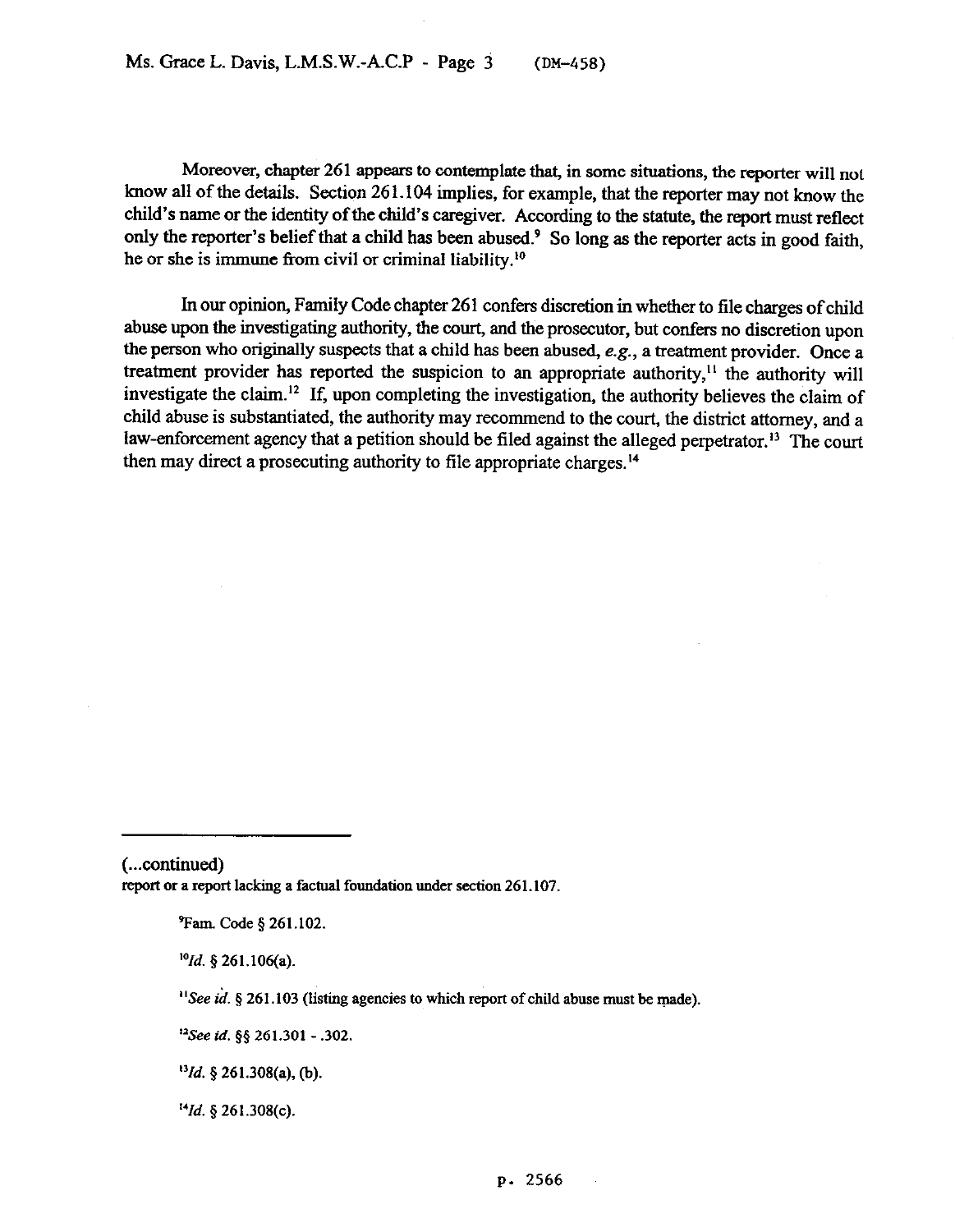Moreover, chapter 261 appears to contemplate that, in some situations, the reporter will not know all of the details. Section 261.104 implies, for example, that the reporter may not know the child's name or the identity of the child's caregiver. According to the statute, the report must reflect only the reporter's belief that a child has been abused.<sup>9</sup> So long as the reporter acts in good faith, he or she is immune from civil or criminal liability.<sup>10</sup>

In our opinion, Family Code chapter 261 confers discretion in whether to file charges of child abuse upon the investigating authority, the court, and the prosecutor, but confers no discretion upon the person who originally suspects that a child has been abused, e.g., a treatment provider. Once a treatment provider has reported the suspicion to an appropriate authority,<sup> $11$ </sup> the authority will investigate the claim.<sup>12</sup> If, upon completing the investigation, the authority believes the claim of child abuse is substantiated, the authority may recommend to the court, the district attorney, and a law-enforcement agency that a petition should be filed against the alleged perpetrator.<sup>13</sup> The court then may direct a prosecuting authority to file appropriate charges.14

*'Old. 5* **261.106(a).** 

*"Id. 5 261.308(c).* 

<sup>(...</sup>continued) report or a report lacking a factual foundation under section 261.107.

**<sup>%</sup>m. Code \$261.102.** 

<sup>&</sup>lt;sup>11</sup>See id. § 261.103 (listing agencies to which report of child abuse must be made).

**<sup>&#</sup>x27;\*See id. \$5 261.301 - .302.** 

*<sup>&</sup>quot;fd. 5* **261.308(a), (b).**